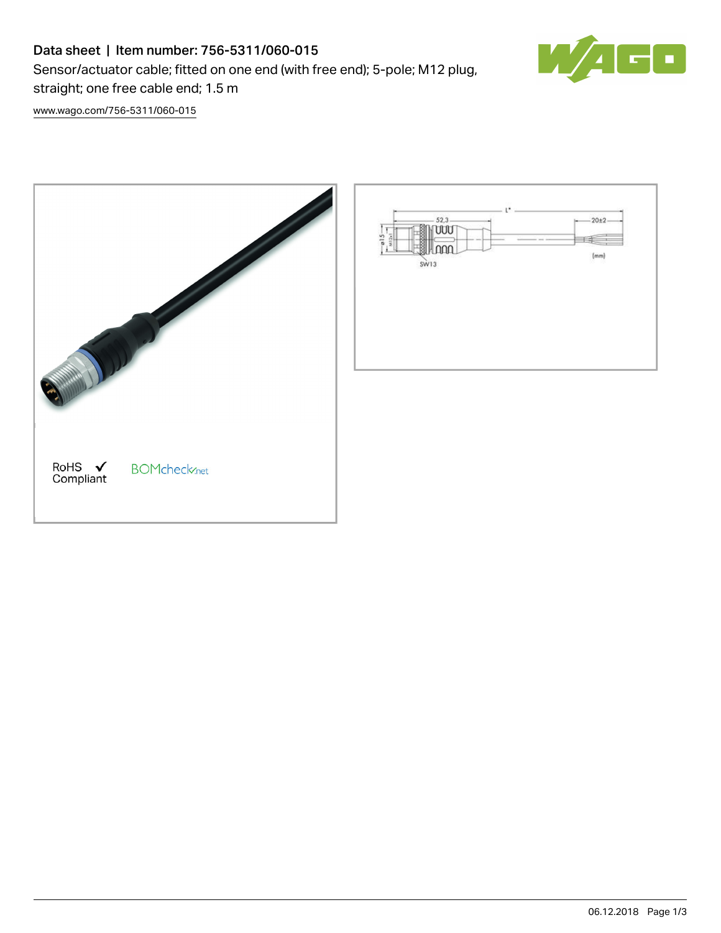## Data sheet | Item number: 756-5311/060-015

Sensor/actuator cable; fitted on one end (with free end); 5-pole; M12 plug, straight; one free cable end; 1.5 m

Ŧ

[www.wago.com/756-5311/060-015](http://www.wago.com/756-5311/060-015)

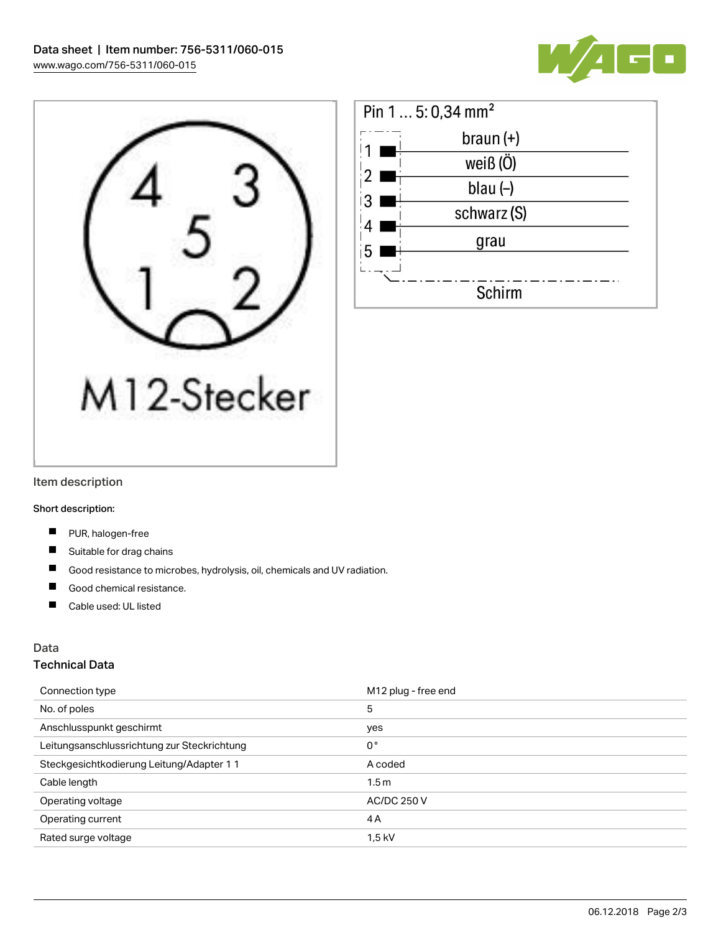





#### Item description

Short description:

- $\blacksquare$ PUR, halogen-free
- Suitable for drag chains
- $\blacksquare$ Good resistance to microbes, hydrolysis, oil, chemicals and UV radiation.
- П Good chemical resistance.
- $\blacksquare$ Cable used: UL listed

### Data

#### Technical Data

| Connection type                             | M12 plug - free end |
|---------------------------------------------|---------------------|
| No. of poles                                | 5                   |
| Anschlusspunkt geschirmt                    | yes                 |
| Leitungsanschlussrichtung zur Steckrichtung | $0^{\circ}$         |
| Steckgesichtkodierung Leitung/Adapter 1 1   | A coded             |
| Cable length                                | 1.5 <sub>m</sub>    |
| Operating voltage                           | <b>AC/DC 250 V</b>  |
| Operating current                           | 4 A                 |
| Rated surge voltage                         | 1,5 kV              |